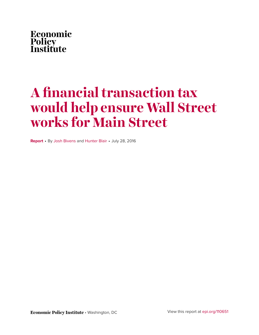

# **A financial transaction tax would help ensure Wall Street works for Main Street**

**Report** • By [Josh Bivens](http://www.epi.org/people/josh-bivens/) and [Hunter Blair](http://www.epi.org/people/hunter-blair/) • July 28, 2016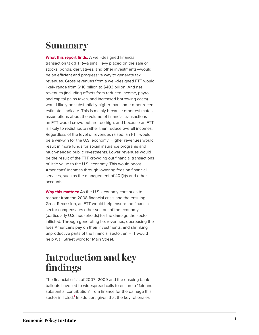### **Summar y**

**What this report finds:** A well-designed financial transaction tax (FTT)—a small levy placed on the sale of stocks, bonds, derivatives, and other investments—would be an efficient and progressive way to generate tax revenues. Gross revenues from a well-designed FTT would likely range from \$110 billion to \$403 billion. And net revenues (including offsets from reduced income, payroll and capital gains taxes, and increased borrowing costs) would likely be substantially higher than some other recent estimates indicate. This is mainly because other estimates ' assumptions about the volume of financial transactions an FTT would crowd out are too high, and because an FTT is likely to redistribute rather than reduce overall incomes. Regardless of the level of revenues raised, an FTT would be a win-win for the U.S. economy. Higher revenues would result in more funds for social insurance programs and much-needed public investments. Lower revenues would be the result of the FTT crowding out financial transactions of little value to the U.S. economy. This would boost Americans' incomes through lowering fees on financial services, such as the management of 401(k)s and other accounts.

**Why this matters:** As the U.S. economy continues to recover from the 2008 financial crisis and the ensuing Great Recession, an FTT would help ensure the financial sector compensates other sectors of the economy (particularly U.S. households) for the damage the sector inflicted. Through generating tax revenues, decreasing the fees Americans pay on their investments, and shrinking unproductive parts of the financial sector, an FTT would help Wall Street work for Main Street.

### **Introduction and ke y find i n g s**

<span id="page-1-0"></span>The financial crisis of 2007–2009 and the ensuing bank bailouts have led to widespread calls to ensure a "fair and substantial contribution" from finance for the damage this sector inflicted.<sup>[1](#page-17-0)</sup> In addition, given that the key rationales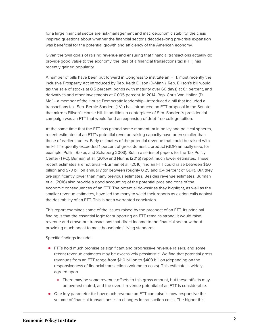for a large financial sector are risk-management and macroeconomic stability, the crisis inspired questions about whether the financial sector's decades-long pre-crisis expansion was beneficial for the potential growth and efficiency of the American economy.

Given the twin goals of raising revenue and ensuring that financial transactions actually do provide good value to the economy, the idea of a financial transactions tax (FTT) has recently gained popularity.

A number of bills have been put forward in Congress to institute an FTT, most recently the Inclusive Prosperity Act introduced by Rep. Keith Ellison (D-Minn.). Rep. Ellison's bill would tax the sale of stocks at 0.5 percent, bonds (with maturity over 60 days) at 0.1 percent, and derivatives and other investments at 0.005 percent. In 2014, Rep. Chris Van Hollen (D-Md.)—a member of the House Democratic leadership—introduced a bill that included a transactions tax. Sen. Bernie Sanders (I-Vt.) has introduced an FTT proposal in the Senate that mirrors Ellison's House bill. In addition, a centerpiece of Sen. Sanders's presidential campaign was an FTT that would fund an expansion of debt-free college tuition.

At the same time that the FTT has gained some momentum in policy and political spheres, recent estimates of an FTT's potential revenue-raising capacity have been smaller than those of earlier studies. Early estimates of the potential revenue that could be raised with an FTT frequently exceeded 1 percent of gross domestic product (GDP) annually (see, for example, Pollin, Baker, and Schaberg 2003). But in a series of papers for the Tax Policy Center (TPC), Burman et al. (2016) and Nunns (2016) report much lower estimates. These recent estimates are not trivial—Burman et al. (2016) find an FTT could raise between \$50 billion and \$70 billion annually (or between roughly 0.25 and 0.4 percent of GDP). But they are significantly lower than many previous estimates. Besides revenue estimates, Burman et al. (2016) also provide a good accounting of the potential pros and cons of the economic consequences of an FTT. The potential downsides they highlight, as well as the smaller revenue estimates, have led too many to wield their reports as clarion calls against the desirability of an FTT. This is not a warranted conclusion.

This report examines some of the issues raised by the prospect of an FTT. Its principal finding is that the essential logic for supporting an FTT remains strong: It would raise revenue and crowd out transactions that direct income to the financial sector without providing much boost to most households' living standards.

Specific findings include:

- **FTTs hold much promise as significant and progressive revenue raisers, and some** recent revenue estimates may be excessively pessimistic. We find that potential gross revenues from an FTT range from \$110 billion to \$403 billion (depending on the responsiveness of financial transactions volume to costs). This estimate is widely agreed upon.
	- There may be some revenue offsets to this gross amount, but these offsets may be overestimated, and the overall revenue potential of an FTT is considerable.
- One key parameter for how much revenue an FTT can raise is how responsive the volume of financial transactions is to changes in transaction costs. The higher this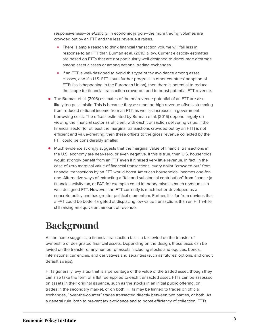responsiveness—or elasticity, in economic jargon—the more trading volumes are crowded out by an FTT and the less revenue it raises.

- There is ample reason to think financial transaction volume will fall less in response to an FTT than Burman et al. (2016) allow. Current elasticity estimates are based on FTTs that are not particularly well-designed to discourage arbitrage among asset classes or among national trading exchanges.
- If an FTT is well-designed to avoid this type of tax avoidance among asset classes, and if a U.S. FTT spurs further progress in other countries' adoption of FTTs (as is happening in the European Union), then there is potential to reduce the scope for financial transaction crowd-out and to boost potential FTT revenue.
- The Burman et al. (2016) estimates of the net revenue potential of an FTT are also likely too pessimistic. This is because they assume too-high revenue offsets stemming from reduced national income from an FTT, as well as increases in government borrowing costs. The offsets estimated by Burman et al. (2016) depend largely on viewing the financial sector as efficient, with each transaction delivering value. If the financial sector (or at least the marginal transactions crowded out by an FTT) is not efficient and value-creating, then these offsets to the gross revenue collected by the FTT could be considerably smaller.
- Much evidence strongly suggests that the marginal value of financial transactions in the U.S. economy are near-zero, or even negative. If this is true, then U.S. households would strongly benefit from an FTT even if it raised very little revenue. In fact, in the case of zero marginal value of financial transactions, every dollar "crowded out" from financial transactions by an FTT would boost American households' incomes one-forone. Alternative ways of extracting a "fair and substantial contribution" from finance (a financial activity tax, or FAT, for example) could in theory raise as much revenue as a well-designed FTT. However, the FTT currently is much better-developed as a concrete policy and has greater political momentum. Further, it is far from obvious that a FAT could be better-targeted at displacing low-value transactions than an FTT while still raising an equivalent amount of revenue.

# **Background**

As the name suggests, a financial transaction tax is a tax levied on the transfer of ownership of designated financial assets. Depending on the design, these taxes can be levied on the transfer of any number of assets, including stocks and equities, bonds, international currencies, and derivatives and securities (such as futures, options, and credit default swaps).

FTTs generally levy a tax that is a percentage of the value of the traded asset, though they can also take the form of a flat fee applied to each transacted asset. FTTs can be assessed on assets in their original issuance, such as the stocks in an initial public offering, on trades in the secondary market, or on both. FTTs may be limited to trades on official exchanges, "over-the-counter" trades transacted directly between two parties, or both. As a general rule, both to prevent tax avoidance and to boost efficiency of collection, FTTs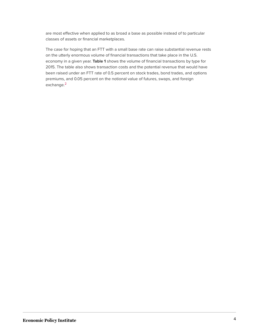are most effective when applied to as broad a base as possible instead of to particular classes of assets or financial marketplaces.

<span id="page-4-0"></span>The case for hoping that an FTT with a small base rate can raise substantial revenue rests on the utterly enormous volume of financial transactions that take place in the U.S. economy in a given year. **Table 1** shows the volume of financial transactions by type for 2015. The table also shows transaction costs and the potential revenue that would have been raised under an FTT rate of 0.5 percent on stock trades, bond trades, and options premiums, and 0.05 percent on the notional value of futures, swaps, and foreign exchange.<sup>[2](#page-17-1)</sup>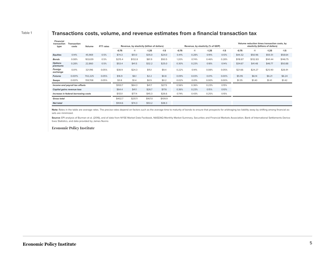#### Table 1 **Transactions costs, volume, and revenue estimates from a financial transaction tax**

| <b>Financial</b><br>transaction<br>type | Transaction<br>Volume<br>FTT rates<br>costs |         |         | Revenue, by elasticity (billion of dollars) |         |         |        | Revenue, by elasticity (% of GDP) |       |         |        | Volume reduction times transaction costs, by<br>elasticity (billions of dollars) |          |          |          |
|-----------------------------------------|---------------------------------------------|---------|---------|---------------------------------------------|---------|---------|--------|-----------------------------------|-------|---------|--------|----------------------------------------------------------------------------------|----------|----------|----------|
|                                         |                                             |         |         | $-0.75$                                     | $-1$    | $-1.25$ | $-1.5$ | $-0.75$                           | $-1$  | $-1.25$ | $-1.5$ | $-0.75$                                                                          | $-1$     | $-1.25$  | $-1.5$   |
| <b>Equities</b>                         | 0.14%                                       | 45,969  | 0.5%    | \$74.3                                      | \$51.0  | \$35.0  | \$24.0 | 0.41%                             | 0.28% | 0.19%   | 0.13%  | \$44.32                                                                          | \$50.96  | \$55.51  | \$58.64  |
| <b>Bonds</b>                            | 0.08%                                       | 183,639 | 0.5%    | \$215.4                                     | \$132.8 | \$81.9  | \$50.5 | 1.20%                             | 0.74% | 0.46%   | 0.28%  | \$118.87                                                                         | \$132.83 | \$141.44 | \$146.75 |
| <b>Options</b><br>premiums              | 0.28%                                       | 22,860  | 0.5%    | \$53.4                                      | \$41.5  | \$32.2  | \$25.0 | 0.30%                             | 0.23% | 0.18%   | 0.14%  | \$34.67                                                                          | \$41.48  | \$46.77  | \$50.88  |
| Foreign<br>exchange                     | 0.01%                                       | 321.196 | 0.05%   | \$38.9                                      | \$24.3  | \$15.1  | \$9.4  | 0.22%                             | 0.14% | 0.08%   | 0.05%  | \$21.66                                                                          | \$24.27  | \$25.90  | \$26.91  |
| <b>Futures</b>                          | 0.001%                                      | 702,225 | 0.05%   | \$16.9                                      | \$6.1   | \$2.2   | \$0.8  | 0.09%                             | 0.03% | 0.01%   | 0.00%  | \$5.95                                                                           | \$6.14   | \$6.21   | \$6.24   |
| Swaps                                   | 0.001%                                      | 159,708 | 0.05%   | \$3.8                                       | \$1.4   | \$0.5   | \$0.2  | 0.02%                             | 0.01% | 0.00%   | 0.00%  | \$1.35                                                                           | \$1.40   | \$1.41   | \$1.42   |
| Income and payroll tax offsets          |                                             |         | \$100.7 | \$64.3                                      | \$41.7  | \$27.5  | 0.56%  | 0.36%                             | 0.23% | 0.15%   |        |                                                                                  |          |          |          |
| Capital gains revenue loss              |                                             |         |         | \$64.4                                      | \$41.1  | \$26.7  | \$17.6 | 0.36%                             | 0.23% | 0.15%   | 0.10%  |                                                                                  |          |          |          |
| Increase in federal borrowing costs     |                                             |         | \$133.1 | \$77.4                                      | \$45.3  | \$26.6  | 0.74%  | 0.43%                             | 0.25% | 0.15%   |        |                                                                                  |          |          |          |
| <b>Gross total</b>                      |                                             |         | \$402.7 | \$257.1                                     | \$167.0 | \$109.9 |        |                                   |       |         |        |                                                                                  |          |          |          |
| <b>Net total</b>                        |                                             |         | \$104.6 | \$74.3                                      | \$53.2  | \$38.3  |        |                                   |       |         |        |                                                                                  |          |          |          |

Note: Rates in the table are average rates. The precise rates depend on factors such as the average time to maturity of bonds to ensure that prospects for arbitraging tax liability away by shifting among financial assets are minimized.

Source: EPI analysis of Burman et al. (2016), and of data from NYSE Market Data Factbook, NASDAQ Monthly Market Summary, Securities and Financial Markets Association, Bank of International Settlements Derivatives Statistics, and data provided by James Nunns

#### **Economic Policy Institute**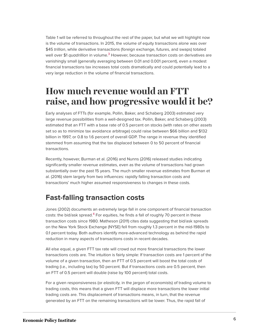<span id="page-6-0"></span>Table 1 will be referred to throughout the rest of the paper, but what we will highlight now is the volume of transactions. In 2015, the volume of equity transactions alone was over \$45 trillion, while derivative transactions (foreign exchange, futures, and swaps) totaled well over \$1 *quadrillion* in volume.<sup>[3](#page-17-2)</sup> However, because transaction costs on derivatives are vanishingly small (generally averaging between 0.01 and 0.001 percent), even a modest financial transactions tax increases total costs dramatically and could potentially lead to a very large reduction in the volume of financial transactions.

## **How much revenue would an FTT raise, and how progressive would it be?**

Early analyses of FTTs (for example, Pollin, Baker, and Schaberg 2003) estimated very large revenue possibilities from a well-designed tax. Pollin, Baker, and Schaberg (2003) estimated that an FTT with a base rate of 0.5 percent on stocks (with rates on other assets set so as to minimize tax avoidance arbitrage) could raise between \$66 billion and \$132 billion in 1997, or 0.8 to 1.6 percent of overall GDP. The range in revenue they identified stemmed from assuming that the tax displaced between 0 to 50 percent of financial transactions.

Recently, however, Burman et al. (2016) and Nunns (2016) released studies indicating significantly smaller revenue estimates, even as the volume of transactions had grown substantially over the past 15 years. The much smaller revenue estimates from Burman et al. (2016) stem largely from two influences: rapidly falling transaction costs and transactions' much higher assumed responsiveness to changes in these costs.

### **Fast-falling transaction costs**

<span id="page-6-1"></span>Jones (2002) documents an extremely large fall in one component of financial transaction costs: the bid/ask spread. $4$  For equities, he finds a fall of roughly 70 percent in these transaction costs since 1980. Matheson (2011) cites data suggesting that bid/ask spreads on the New York Stock Exchange (NYSE) fell from roughly 1.3 percent in the mid-1980s to 0.1 percent today. Both authors identify more-advanced technology as behind the rapid reduction in many aspects of transactions costs in recent decades.

All else equal, a given FTT tax rate will crowd out more financial transactions the lower transactions costs are. The intuition is fairly simple: If transaction costs are 1 percent of the volume of a given transaction, then an FTT of 0.5 percent will boost the total costs of trading (i.e., including tax) by 50 percent. But if transactions costs are 0.5 percent, then an FTT of 0.5 percent will double (raise by 100 percent) total costs.

For a given responsiveness (or elasticity, in the jargon of economists) of trading volume to trading costs, this means that a given FTT will displace more transactions the lower initial trading costs are. This displacement of transactions means, in turn, that the revenue generated by an FTT on the remaining transactions will be lower. Thus, the rapid fall of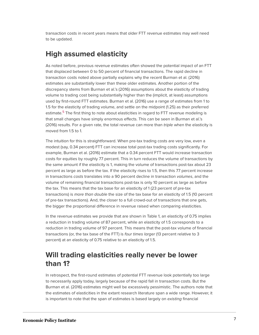transaction costs in recent years means that older FTT revenue estimates may well need to be updated.

### **High assumed elasticity**

As noted before, previous revenue estimates often showed the potential impact of an FTT that displaced between 0 to 50 percent of financial transactions. The rapid decline in transaction costs noted above partially explains why the recent Burman et al. (2016) estimates are substantially lower than these older estimates. Another portion of the discrepancy stems from Burman et al.'s (2016) assumptions about the elasticity of trading volume to trading cost being substantially higher than the (implicit, at least) assumptions used by first-round FTT estimates. Burman et al. (2016) use a range of estimates from 1 to 1.5 for the elasticity of trading volume, and settle on the midpoint (1.25) as their preferred estimate.<sup>[5](#page-17-4)</sup> The first thing to note about elasticities in regard to FTT revenue modeling is that small changes have simply enormous effects. This can be seen in Burman et al.'s (2016) results. For a given rate, the total revenue can more than *triple* when the elasticity is moved from 1.5 to 1.

<span id="page-7-0"></span>The intuition for this is straightforward. When pre-tax trading costs are very low, even a modest (say, 0.34 percent) FTT can increase total post-tax trading costs significantly. For example, Burman et al. (2016) estimate that a 0.34 percent FTT would increase transaction costs for equities by roughly 77 percent. This in turn reduces the volume of transactions by the same amount if the elasticity is 1, making the volume of transactions post-tax about 23 percent as large as before the tax. If the elasticity rises to 1.5, then this 77 percent increase in transactions costs translates into a 90 percent decline in transaction volumes, and the volume of remaining financial transactions post-tax is only 10 percent as large as before the tax. This means that the tax base for an elasticity of 1 (23 percent of pre-tax transactions) is more than double the size of the tax base for an elasticity of 1.5 (10 percent of pre-tax transactions). And, the closer to a full crowd-out of transactions that one gets, the bigger the proportional difference in revenue raised when comparing elasticities.

In the revenue estimates we provide that are shown in Table 1, an elasticity of 0.75 implies a reduction in trading volume of 87 percent, while an elasticity of 1.5 corresponds to a reduction in trading volume of 97 percent. This means that the post-tax volume of financial transactions (or, the tax base of the FTT) is four times larger (13 percent relative to 3 percent) at an elasticity of 0.75 relative to an elasticity of 1.5.

### **Will trading elasticities really never be lower than 1?**

In retrospect, the first-round estimates of potential FTT revenue look potentially too large to necessarily apply today, largely because of the rapid fall in transaction costs. But the Burman et al. (2016) estimates might well be excessively pessimistic. The authors note that the estimates of elasticities in the extant research literature span a wide range. However, it is important to note that the span of estimates is based largely on existing financial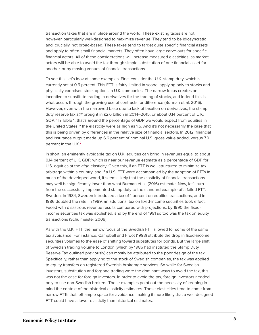transaction taxes that are in place around the world. These existing taxes are not, however, particularly well-designed to maximize revenue. They tend to be idiosyncratic and, crucially, not broad-based. These taxes tend to target quite specific financial assets and apply to often-small financial markets. They often have large carve-outs for specific financial actors. All of these considerations will increase measured elasticities, as market actors will be able to avoid the tax through simple substitution of one financial asset for another, or by moving venues of financial transactions.

To see this, let's look at some examples. First, consider the U.K. stamp duty, which is currently set at 0.5 percent. This FTT is fairly limited in scope, applying only to stocks and physically exercised stock options in U.K. companies. The narrow focus creates an incentive to substitute trading in derivatives for the trading of stocks, and indeed this is what occurs through the growing use of contracts for difference (Burman et al. 2016). However, even with the narrowed base due to lack of taxation on derivatives, the stamp duty reserve tax still brought in £2.6 billion in 2014–2015, or about 0.14 percent of U.K. GDP.<sup>[6](#page-17-5)</sup> In Table 1, that's around the percentage of GDP we would expect from equities in the United States if the elasticity were as high as 1.5. And it's not necessarily the case that this is being driven by differences in the relative size of financial sectors. In 2012, financial and insurance output made up 6.6 percent of nominal U.S. gross value added, versus 7.0 percent in the U.K.<sup>[7](#page-17-6)</sup>

<span id="page-8-1"></span><span id="page-8-0"></span>In short, an eminently avoidable tax on U.K. equities can bring in revenues equal to about 0.14 percent of U.K. GDP, which is near our revenue estimate as a percentage of GDP for U.S. equities at the *high* elasticity. Given this, if an FTT is well-structured to minimize tax arbitrage within a country, and if a U.S. FTT were accompanied by the adoption of FTTs in much of the developed world, it seems likely that the elasticity of financial transactions may well be significantly lower than what Burman et al. (2016) estimate. Now, let's turn from the successfully implemented stamp duty to the standard example of a failed FTT: Sweden. In 1984, Sweden introduced a tax of 1 percent on equities transactions, and in 1986 doubled the rate. In 1989, an additional tax on fixed-income securities took effect. Faced with disastrous revenue results compared with projections, by 1990 the fixedincome securities tax was abolished, and by the end of 1991 so too was the tax on equity transactions (Schulmeister 2009).

As with the U.K. FTT, the narrow focus of the Swedish FTT allowed for some of the same tax avoidance. For instance, Campbell and Froot (1993) attribute the drop in fixed-income securities volumes to the ease of shifting toward substitutes for bonds. But the large shift of Swedish trading volume to London (which by 1986 had instituted the Stamp Duty Reserve Tax outlined previously) can mostly be attributed to the poor design of the tax. Specifically, rather than applying to the stock of Swedish companies, the tax was applied to equity transfers on registered Swedish brokerage services. So while for Swedish investors, substitution and forgone trading were the dominant ways to avoid the tax, this was not the case for foreign investors. In order to avoid the tax, foreign investors needed only to use non-Swedish brokers. These examples point out the necessity of keeping in mind the context of the historical elasticity estimates. These elasticities tend to come from narrow FTTs that left ample space for avoidance, making it more likely that a well-designed FTT could have a lower elasticity than historical estimates.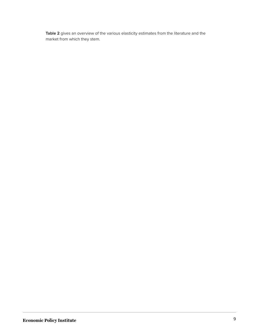**Table 2** gives an overview of the various elasticity estimates from the literature and the market from which they stem.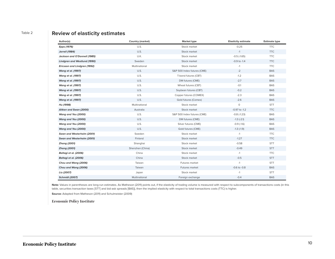#### Table 2 **Review of elasticity estimates**

| Author(s)                           | <b>Country (market)</b> | <b>Market type</b>          | <b>Elasticity estimate</b> | <b>Estimate type</b> |
|-------------------------------------|-------------------------|-----------------------------|----------------------------|----------------------|
| Epps (1976)                         | U.S.                    | Stock market                | $-0.25$                    | <b>TTC</b>           |
| <b>Jarrell</b> (1984)               | U.S.                    | Stock market                | $-1$                       | <b>TTC</b>           |
| Jackson and O'Donnell (1985)        | U.K.                    | Stock market                | $-0.5$ $(-1.65)$           | <b>TTC</b>           |
| <b>Lindgren and Westlund (1990)</b> | Sweden                  | Stock market                | $-0.9$ to $-1.4$           | <b>TTC</b>           |
| Ericsson and Lindgren (1992)        | Multinational           | Stock market                | $-1$                       | <b>TTC</b>           |
| <b>Wang et al. (1997)</b>           | U.S.                    | S&P 500 Index futures (CME) | $-2$                       | <b>BAS</b>           |
| <b>Wang et al. (1997)</b>           | U.S.                    | T-bond futures (CBT)        | $-1.2$                     | <b>BAS</b>           |
| <b>Wang et al. (1997)</b>           | U.S.                    | DM futures (CME)            | $-2.7$                     | <b>BAS</b>           |
| Wang et al. (1997)                  | U.S.                    | Wheat futures (CBT)         | $-0.1$                     | <b>BAS</b>           |
| <b>Wang et al. (1997)</b>           | U.S.                    | Soybean futures (CBT)       | $-0.2$                     | <b>BAS</b>           |
| <b>Wang et al. (1997)</b>           | U.S.                    | Copper futures (COMEX)      | $-2.3$                     | <b>BAS</b>           |
| <b>Wang et al. (1997)</b>           | U.S.                    | Gold futures (Comex)        | $-2.6$                     | <b>BAS</b>           |
| Hu (1998)                           | Multinational           | Stock market                | $\circ$                    | <b>STT</b>           |
| Aitken and Swan (2000)              | Australia               | Stock market                | $-0.97$ to $-1.2$          | <b>TTC</b>           |
| Wang and Yau (2000)                 | U.S.                    | S&P 500 Index futures (CME) | $-0.8$ $(-1.23)$           | <b>BAS</b>           |
| Wang and Yau (2000)                 | U.S.                    | DM futures (CME)            | $-1.3(-2.1)$               | <b>BAS</b>           |
| Wang and Yau (2000)                 | U.S.                    | Silver futures (CME)        | $-0.9$ $(-1.6)$            | <b>BAS</b>           |
| Wang and Yau (2000)                 | U.S.                    | Gold futures (CME)          | $-1.3$ $(-1.9)$            | <b>BAS</b>           |
| Swan and Westerholm (2001)          | Sweden                  | Stock market                | $-1$                       | <b>TTC</b>           |
| Swan and Westerholm (2001)          | Finland                 | Stock market                | $-1.27$                    | <b>TTC</b>           |
| <b>Zhang (2001)</b>                 | Shanghai                | Stock market                | $-0.58$                    | <b>STT</b>           |
| <b>Zhang (2001)</b>                 | Shenzhen (China)        | Stock market                | $-0.49$                    | <b>STT</b>           |
| Baltagi et al. (2006)               | China                   | Stock market                | $-1$                       | <b>TTC</b>           |
| Baltagi et al. (2006)               | China                   | Stock market                | $-0.5$                     | <b>STT</b>           |
| Chou and Wang (2006)                | Taiwan                  | Futures market              | $-1$                       | <b>STT</b>           |
| Chou and Wang (2006)                | Taiwan                  | Futures market              | $-0.6$ to $-0.8$           | <b>BAS</b>           |
| Liu (2007)                          | Japan                   | Stock market                | $-1$                       | <b>STT</b>           |
| <b>Schmidt (2007)</b>               | Multinational           | Foreign exchange            | $-0.4$                     | <b>BAS</b>           |

Note: Values in parentheses are long-run estimates. As Matheson (2011) points out, if the elasticity of trading volume is measured with respect to subcomponents of transactions costs (in this table, securities transaction taxes [STT] and bid-ask spreads [BAS]), then the implied elasticity with respect to total transactions costs (TTC) is higher.

**Source:** Adapted from Matheson (2011) and Schulmeister (2009)

**Economic Policy Institute**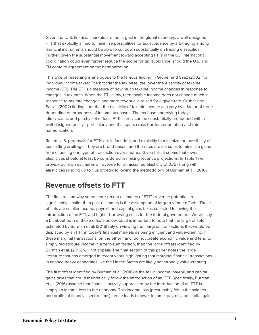Given that U.S. financial markets are the largest in the global economy, a well-designed FTT that explicitly aimed to minimize possibilities for tax avoidance by arbitraging among financial instruments should be able to cut down substantially on trading elasticities. Further, given the substantial movement toward accepting FTTs in the EU, international coordination could even further reduce the scope for tax avoidance, should the U.S. and EU come to agreement on tax harmonization.

This type of reasoning is analogous to the famous finding in Gruber and Saez (2002) for individual income taxes: The broader the tax base, the lower the elasticity of taxable income (ETI). The ETI is a measure of how much taxable income changes in response to changes in tax rates. When the ETI is low, then taxable income does not change much in response to tax rate changes, and more revenue is raised for a given rate. Gruber and Saez's (2002) findings are that the elasticity of taxable income can vary by a factor of three depending on broadness of income tax bases. The tax base underlying today's idiosyncratic and patchy set of local FTTs surely can be substantially broadened with a well-designed policy—particularly one that spurs cross-border cooperation and rate harmonization.

Recent U.S. proposals for FTTs are in fact designed explicitly to minimize the possibility of tax-shifting arbitrage. They are broad-based, and the rates are set so as to minimize gains from choosing one type of transaction over another. Given this, it seems that lower elasticities should at least be considered in making revenue projections. In Table 1 we provide our own estimates of revenue for an assumed elasticity of 0.75 (along with elasticities ranging up to 1.5), broadly following the methodology of Burman et al. (2016).

### **Revenue offsets to FTT**

The final reason why some more-recent estimates of FTT's revenue potential are significantly smaller than past estimates is the assumption of large revenue offsets. These offsets are smaller income, payroll, and capital gains taxes collected following the introduction of an FTT, and higher borrowing costs for the federal government. We will say a bit about both of these offsets below, but it is important to note that the large offsets estimated by Burman et al. (2016) rely on viewing the marginal transactions that would be displaced by an FTT in today's financial markets as being efficient and value-creating. If these marginal transactions, on the other hand, do not create economic value and tend to simply redistribute income in a zero-sum fashion, then the large offsets identified by Burman et al. (2016) will not appear. The final section of this paper notes the large literature that has emerged in recent years highlighting that marginal financial transactions in finance-heavy economies like the United States are likely not strongly value-creating.

The first offset identified by Burman et al. (2016) is the fall in income, payroll, and capital gains taxes that could theoretically follow the introduction of an FTT. Specifically, Burman et al. (2016) assume that financial activity suppressed by the introduction of an FTT is simply an income loss to the economy. This income loss (presumably felt in the salaries and profits of financial-sector firms) hence leads to lower income, payroll, and capital gains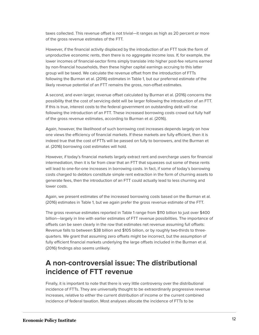taxes collected. This revenue offset is not trivial—it ranges as high as 20 percent or more of the gross revenue estimates of the FTT.

However, if the financial activity displaced by the introduction of an FTT took the form of unproductive economic rents, then there is no aggregate income loss. If, for example, the lower incomes of financial-sector firms simply translate into higher post-fee returns earned by non-financial households, then these higher capital earnings accruing to this latter group will be taxed. We calculate the revenue offset from the introduction of FTTs following the Burman et al. (2016) estimates in Table 1, but our preferred estimate of the likely revenue potential of an FTT remains the gross, non-offset estimates.

A second, and even larger, revenue offset calculated by Burman et al. (2016) concerns the possibility that the cost of servicing debt will be larger following the introduction of an FTT. If this is true, interest costs to the federal government on outstanding debt will rise following the introduction of an FTT. These increased borrowing costs crowd out fully half of the gross revenue estimates, according to Burman et al. (2016).

Again, however, the likelihood of such borrowing cost increases depends largely on how one views the efficiency of financial markets. If these markets are fully efficient, then it is indeed true that the cost of FTTs will be passed on fully to borrowers, and the Burman et al. (2016) borrowing cost estimates will hold.

However, if today's financial markets largely extract rent and overcharge users for financial intermediation, then it is far from clear that an FTT that squeezes out some of these rents will lead to one-for-one increases in borrowing costs. In fact, if some of today's borrowing costs charged to debtors constitute simple rent extraction in the form of churning assets to generate fees, then the introduction of an FTT could actually lead to less churning and lower costs.

Again, we present estimates of the increased borrowing costs based on the Burman et al. (2016) estimates in Table 1, but we again prefer the gross revenue estimate of the FTT.

The gross revenue estimates reported in Table 1 range from \$110 billion to just over \$400 billion—largely in line with earlier estimates of FTT revenue possibilities. The importance of offsets can be seen clearly in the row that estimates net revenue assuming full offsets: Revenue falls to between \$38 billion and \$105 billion, or by roughly two-thirds to threequarters. We grant that assuming zero offsets might be incorrect, but the assumption of fully efficient financial markets underlying the large offsets included in the Burman et al. (2016) findings also seems unlikely.

### **A non-controversial issue: The distributional incidence of FTT revenue**

Finally, it is important to note that there is very little controversy over the distributional incidence of FTTs. They are universally thought to be extraordinarily progressive revenue increases, relative to either the current distribution of income or the current combined incidence of federal taxation. Most analyses allocate the incidence of FTTs to be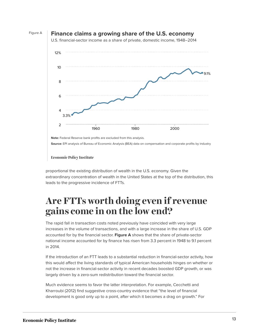

**Source:** EPI analysis of Bureau of Economic Analysis (BEA) data on compensation and corporate profits by industry

**Economic Policy Institute** 

proportional the existing distribution of wealth in the U.S. economy. Given the extraordinary concentration of wealth in the United States at the top of the distribution, this leads to the progressive incidence of FTTs.

### Are FTTs worth doing even if revenue  $\frac{1}{2}$ **1969** 5.20% **gains come in on the low end?**

The rapid fall in transaction costs noted previously have coincided with very large **1971** 5.50% increases in the volume of transactions, and with a large increase in the share of U.S. GDP national income accounted for by finance has risen from 3.3 percent in 1948 to 9.1 percent **1973** 5.35% in 2014. accounted for by the financial sector. **Figure A** shows that the share of private-sector

**1974** 5.39% If the introduction of an FTT leads to a substantial reduction in financial-sector activity, how **1975** 5.78% this would affect the living standards of typical American households hinges on whether or not the increase in financial-sector activity in recent decades boosted GDP growth, or was largely driven by a zero-sum redistribution toward the financial sector.

**1978** 5.67% Much evidence seems to favor the latter interpretation. For example, Cecchetti and Kharroubi (2012) find suggestive cross-country evidence that "the level of financial **1980** 5.99% development is good only up to a point, after which it becomes a drag on growth." For

**1982** 6.56%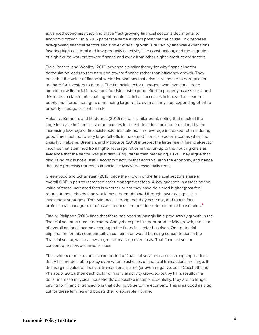advanced economies they find that a "fast-growing financial sector is detrimental to economic growth." In a 2015 paper the same authors posit that the causal link between fast-growing financial sectors and slower overall growth is driven by financial expansions favoring high-collateral and low-productivity activity (like construction), and the migration of high-skilled workers toward finance and away from other higher-productivity sectors.

Biais, Rochet, and Woolley (2012) advance a similar theory for why financial-sector deregulation leads to redistribution toward finance rather than efficiency growth. They posit that the value of financial-sector innovations that arise in response to deregulation are hard for investors to detect. The financial-sector managers who investors hire to monitor new financial innovations for risk must expend effort to properly assess risks, and this leads to classic principal–agent problems. Initial successes in innovations lead to poorly monitored managers demanding large rents, even as they stop expending effort to properly manage or contain risk.

Haldane, Brennan, and Madouros (2010) make a similar point, noting that much of the large increase in financial-sector incomes in recent decades could be explained by the increasing leverage of financial-sector institutions. This leverage increased returns during good times, but led to very large fall-offs in measured financial-sector incomes when the crisis hit. Haldane, Brennan, and Madouros (2010) interpret the large rise in financial-sector incomes that stemmed from higher leverage ratios in the run-up to the housing crisis as evidence that the sector was just disguising, rather than managing, risks. They argue that disguising risk is not a useful economic activity that adds value to the economy, and hence the large pre-crisis returns to financial activity were essentially rents.

Greenwood and Scharfstein (2013) trace the growth of the financial sector's share in overall GDP in part to increased asset management fees. A key question in assessing the value of these increased fees is whether or not they have delivered higher (post-fee) returns to households than would have been obtained through lower-cost passive investment strategies. The evidence is strong that they have not, and that in fact professional management of assets reduces the post-fee return to most households.<sup>[8](#page-17-7)</sup>

<span id="page-14-0"></span>Finally, Philippon (2015) finds that there has been stunningly little productivity growth in the financial sector in recent decades. And yet despite this poor productivity growth, the share of overall national income accruing to the financial sector has risen. One potential explanation for this counterintuitive combination would be rising concentration in the financial sector, which allows a greater mark-up over costs. That financial-sector concentration has occurred is clear.

This evidence on economic value-added of financial services carries strong implications that FTTs are desirable policy even when elasticities of financial transactions are large. If the marginal value of financial transactions is zero (or even negative, as in Cecchetti and Kharroubi 2012), then each dollar of financial activity crowded-out by FTTs results in a dollar increase in typical households' disposable income. Essentially, they are no longer paying for financial transactions that add no value to the economy. This is as good as a tax cut for these families and boosts their disposable income.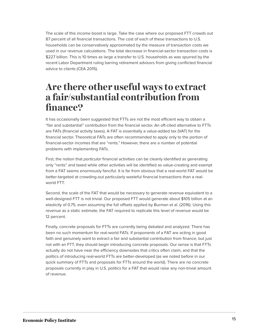The scale of this income boost is large. Take the case where our proposed FTT crowds out 87 percent of all financial transactions. The cost of each of these transactions to U.S. households can be conservatively approximated by the measure of transaction costs we used in our revenue calculations. The total decrease in financial-sector transaction costs is \$227 billion. This is 10 times as large a transfer to U.S. households as was spurred by the recent Labor Department ruling barring retirement advisors from giving conflicted financial advice to clients (CEA 2015).

### **Are there other useful ways to extract a fair/substantial contribution from finance?**

It has occasionally been suggested that FTTs are not the most efficient way to obtain a "fair and substantial" contribution from the financial sector. An oft-cited alternative to FTTs are FATs (financial activity taxes). A FAT is essentially a value-added tax (VAT) for the financial sector. Theoretical FATs are often recommended to apply only to the portion of financial-sector incomes that are "rents." However, there are a number of potential problems with implementing FATs.

First, the notion that *particular* financial activities can be cleanly identified as generating only "rents" and taxed while other activities will be identified as value-creating and exempt from a FAT seems enormously fanciful. It is far from obvious that a real-world FAT would be better-targeted at crowding-out particularly wasteful financial transactions than a realworld FTT.

Second, the scale of the FAT that would be necessary to generate revenue equivalent to a well-designed FTT is not trivial. Our proposed FTT would generate about \$105 billion at an elasticity of 0.75, even assuming the full offsets applied by Burman et al. (2016). Using this revenue as a static estimate, the FAT required to replicate this level of revenue would be 12 percent.

Finally, concrete proposals for FTTs are currently being debated and analyzed. There has been no such momentum for real-world FATs. If proponents of a FAT are acting in good faith and genuinely want to extract a fair and substantial contribution from finance, but just not with an FTT, they should begin introducing concrete proposals. Our sense is that FTTs actually do not have near the efficiency downsides that critics often claim, and that the politics of introducing real-world FTTs are better-developed (as we noted before in our quick summary of FTTs and proposals for FTTs around the world). There are no concrete proposals currently in play in U.S. politics for a FAT that would raise any non-trivial amount of revenue.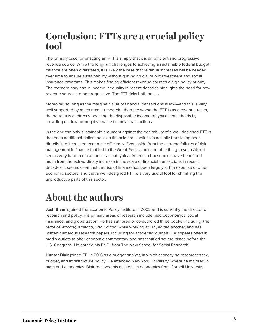# **Conclusion: FTTs are a crucial policy tool**

The primary case for enacting an FTT is simply that it is an efficient and progressive revenue source. While the long-run challenges to achieving a sustainable federal budget balance are often overstated, it is likely the case that revenue increases will be needed over time to ensure sustainability without gutting crucial public investment and social insurance programs. This makes finding efficient revenue sources a high policy priority. The extraordinary rise in income inequality in recent decades highlights the need for new revenue sources to be progressive. The FTT ticks both boxes.

Moreover, so long as the marginal value of financial transactions is low—and this is very well supported by much recent research—then the worse the FTT is as a revenue-raiser, the better it is at directly boosting the disposable income of typical households by crowding out low- or negative-value financial transactions.

In the end the only sustainable argument against the desirability of a well-designed FTT is that each additional dollar spent on financial transactions is actually translating neardirectly into increased economic efficiency. Even aside from the extreme failures of risk management in finance that led to the Great Recession (a notable thing to set aside), it seems very hard to make the case that typical American households have benefitted much from the extraordinary increase in the scale of financial transactions in recent decades. It seems clear that the rise of finance has been largely at the expense of other economic sectors, and that a well-designed FTT is a very useful tool for shrinking the unproductive parts of this sector.

# **About the authors**

**Josh Bivens** joined the Economic Policy Institute in 2002 and is currently the director of research and policy. His primary areas of research include macroeconomics, social insurance, and globalization. He has authored or co-authored three books (including The State of Working America, 12th Edition) while working at EPI, edited another, and has written numerous research papers, including for academic journals. He appears often in media outlets to offer economic commentary and has testified several times before the U.S. Congress. He earned his Ph.D. from The New School for Social Research.

**Hunter Blair** joined EPI in 2016 as a budget analyst, in which capacity he researches tax, budget, and infrastructure policy. He attended New York University, where he majored in math and economics. Blair received his master's in economics from Cornell University.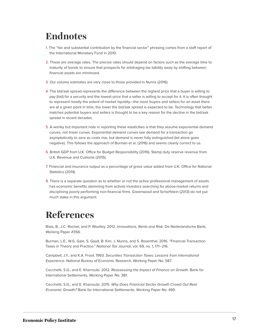# **Endnotes**

- <span id="page-17-0"></span>[1.](#page-1-0) The "fair and substantial contribution by the financial sector" phrasing comes from a staff report of the International Monetary Fund in 2010.
- <span id="page-17-1"></span>[2.](#page-4-0) These are average rates. The precise rates should depend on factors such as the average time to maturity of bonds to ensure that prospects for arbitraging tax liability away by shifting between financial assets are minimized.
- <span id="page-17-2"></span>[3.](#page-6-0) Our volume estimates are very close to those provided in Nunns (2016).
- <span id="page-17-3"></span>[4.](#page-6-1) The bid/ask spread represents the difference between the highest price that a buyer is willing to pay (bid) for a security and the lowest price that a seller is willing to accept for it. It is often thought to represent mostly the extent of market liquidity—the more buyers and sellers for an asset there are at a given point in time, the lower the bid/ask spread is expected to be. Technology that better matches potential buyers and sellers is thought to be a key reason for the decline in the bid/ask spread in recent decades.
- <span id="page-17-4"></span>[5.](#page-7-0) A wonky but important note in reporting these elasticities is that they assume exponential demand curves, not linear curves. Exponential demand curves see demand for a transaction go asymptotically to zero as costs rise, but demand is never fully extinguished (let alone goes negative). This follows the approach of Burman et al. (2016) and seems clearly correct to us.
- <span id="page-17-5"></span>[6.](#page-8-0) British GDP from U.K. Office for Budget Responsibility (2016). Stamp duty reserve revenue from U.K. Revenue and Customs (2015).
- <span id="page-17-6"></span>[7.](#page-8-1) Financial and insurance output as a percentage of gross value added from U.K. Office for National Statistics (2014).
- <span id="page-17-7"></span>[8.](#page-14-0) There is a separate question as to whether or not the active professional management of assets has economic benefits stemming from activist investors searching for above-market returns and disciplining poorly performing non-financial firms. Greenwood and Scharfstein (2013) do not put much stake in this argument.

# **References**

Biais, B., J.C. Rochet, and P. Woolley. 2012. Innovations, Rents and Risk. De Nederlandsche Bank, Working Paper #356.

Burman, L.E., W.G. Gale, S. Gault, B. Kim, J. Nunns, and S. Rosenthal. 2016. "Financial Transaction Taxes in Theory and Practice." National Tax Journal, vol. 69, no. 1, 171–216.

Campbell, J.Y., and K.A. Froot. 1993. Securities Transaction Taxes: Lessons from International Experience. National Bureau of Economic Research, Working Paper No. 587.

Cecchetti, S.G., and E. Kharroubi. 2012. Reassessing the Impact of Finance on Growth. Bank for International Settlements, Working Paper No. 381.

Cecchetti, S.G., and E. Kharroubi. 2015. Why Does Financial Sector Growth Crowd Out Real Economic Growth? Bank for International Settlements, Working Paper No. 490.